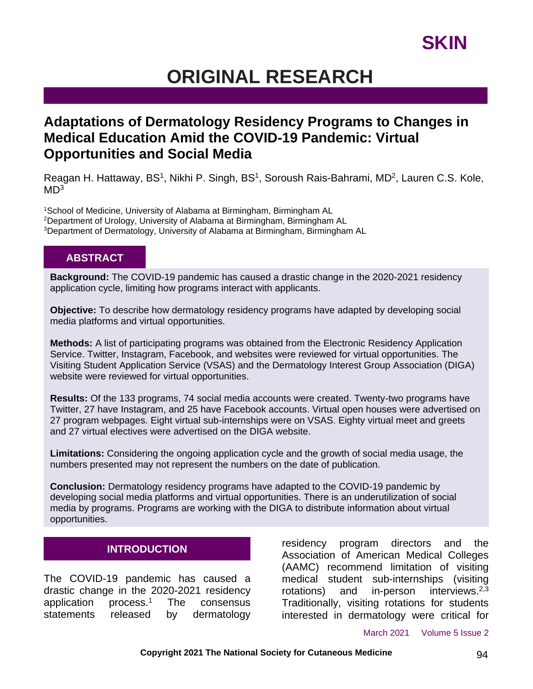## **SKIN**

## **ORIGINAL RESEARCH**

## **Adaptations of Dermatology Residency Programs to Changes in Medical Education Amid the COVID-19 Pandemic: Virtual Opportunities and Social Media**

Reagan H. Hattaway, BS<sup>1</sup>, Nikhi P. Singh, BS<sup>1</sup>, Soroush Rais-Bahrami, MD<sup>2</sup>, Lauren C.S. Kole,  $MD<sup>3</sup>$ 

<sup>1</sup>School of Medicine, University of Alabama at Birmingham, Birmingham AL <sup>2</sup>Department of Urology, University of Alabama at Birmingham, Birmingham AL <sup>3</sup>Department of Dermatology, University of Alabama at Birmingham, Birmingham AL

### **ABSTRACT**

**Background:** The COVID-19 pandemic has caused a drastic change in the 2020-2021 residency application cycle, limiting how programs interact with applicants.

**Objective:** To describe how dermatology residency programs have adapted by developing social media platforms and virtual opportunities.

**Methods:** A list of participating programs was obtained from the Electronic Residency Application Service. Twitter, Instagram, Facebook, and websites were reviewed for virtual opportunities. The Visiting Student Application Service (VSAS) and the Dermatology Interest Group Association (DIGA) website were reviewed for virtual opportunities.

**Results:** Of the 133 programs, 74 social media accounts were created. Twenty-two programs have Twitter, 27 have Instagram, and 25 have Facebook accounts. Virtual open houses were advertised on 27 program webpages. Eight virtual sub-internships were on VSAS. Eighty virtual meet and greets and 27 virtual electives were advertised on the DIGA website.

**Limitations:** Considering the ongoing application cycle and the growth of social media usage, the numbers presented may not represent the numbers on the date of publication.

**Conclusion:** Dermatology residency programs have adapted to the COVID-19 pandemic by developing social media platforms and virtual opportunities. There is an underutilization of social media by programs. Programs are working with the DIGA to distribute information about virtual opportunities.

### **INTRODUCTION**

The COVID-19 pandemic has caused a drastic change in the 2020-2021 residency application process.<sup>1</sup> The consensus statements released by dermatology residency program directors and the Association of American Medical Colleges (AAMC) recommend limitation of visiting medical student sub-internships (visiting rotations) and in-person interviews. $2,3$ Traditionally, visiting rotations for students interested in dermatology were critical for

March 2021 Volume 5 Issue 2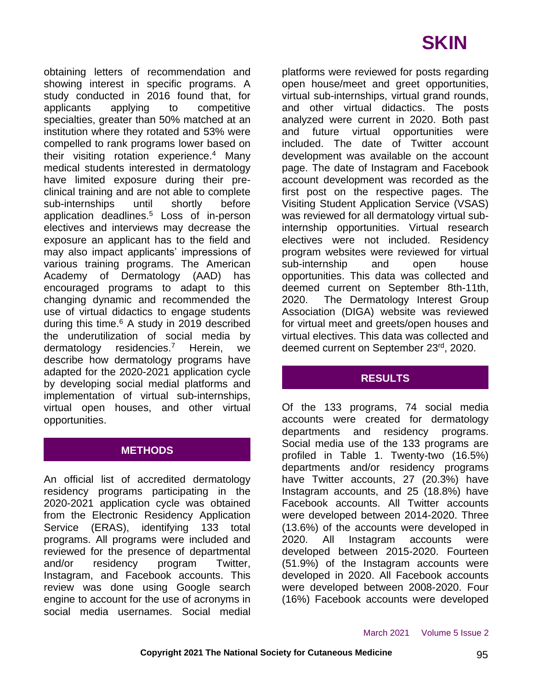# **SKIN**

obtaining letters of recommendation and showing interest in specific programs. A study conducted in 2016 found that, for applicants applying to competitive specialties, greater than 50% matched at an institution where they rotated and 53% were compelled to rank programs lower based on their visiting rotation experience.<sup>4</sup> Many medical students interested in dermatology have limited exposure during their preclinical training and are not able to complete sub-internships until shortly before application deadlines.<sup>5</sup> Loss of in-person electives and interviews may decrease the exposure an applicant has to the field and may also impact applicants' impressions of various training programs. The American Academy of Dermatology (AAD) has encouraged programs to adapt to this changing dynamic and recommended the use of virtual didactics to engage students during this time.<sup>6</sup> A study in 2019 described the underutilization of social media by dermatology residencies.<sup>7</sup> Herein, we describe how dermatology programs have adapted for the 2020-2021 application cycle by developing social medial platforms and implementation of virtual sub-internships, virtual open houses, and other virtual opportunities.

### **METHODS**

An official list of accredited dermatology residency programs participating in the 2020-2021 application cycle was obtained from the Electronic Residency Application Service (ERAS), identifying 133 total programs. All programs were included and reviewed for the presence of departmental and/or residency program Twitter, Instagram, and Facebook accounts. This review was done using Google search engine to account for the use of acronyms in social media usernames. Social medial platforms were reviewed for posts regarding open house/meet and greet opportunities, virtual sub-internships, virtual grand rounds, and other virtual didactics. The posts analyzed were current in 2020. Both past and future virtual opportunities were included. The date of Twitter account development was available on the account page. The date of Instagram and Facebook account development was recorded as the first post on the respective pages. The Visiting Student Application Service (VSAS) was reviewed for all dermatology virtual subinternship opportunities. Virtual research electives were not included. Residency program websites were reviewed for virtual sub-internship and open house opportunities. This data was collected and deemed current on September 8th-11th, 2020. The Dermatology Interest Group Association (DIGA) website was reviewed for virtual meet and greets/open houses and virtual electives. This data was collected and deemed current on September 23rd, 2020.

### **RESULTS**

Of the 133 programs, 74 social media accounts were created for dermatology departments and residency programs. Social media use of the 133 programs are profiled in Table 1. Twenty-two (16.5%) departments and/or residency programs have Twitter accounts, 27 (20.3%) have Instagram accounts, and 25 (18.8%) have Facebook accounts. All Twitter accounts were developed between 2014-2020. Three (13.6%) of the accounts were developed in 2020. All Instagram accounts were developed between 2015-2020. Fourteen (51.9%) of the Instagram accounts were developed in 2020. All Facebook accounts were developed between 2008-2020. Four (16%) Facebook accounts were developed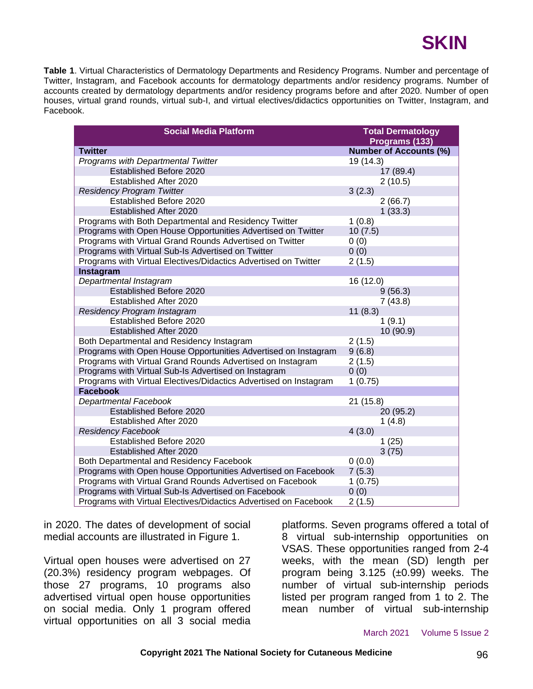

**Table 1**. Virtual Characteristics of Dermatology Departments and Residency Programs. Number and percentage of Twitter, Instagram, and Facebook accounts for dermatology departments and/or residency programs. Number of accounts created by dermatology departments and/or residency programs before and after 2020. Number of open houses, virtual grand rounds, virtual sub-I, and virtual electives/didactics opportunities on Twitter, Instagram, and Facebook.

| <b>Social Media Platform</b>                                      | <b>Total Dermatology</b>      |  |
|-------------------------------------------------------------------|-------------------------------|--|
|                                                                   | Programs (133)                |  |
| <b>Twitter</b>                                                    | <b>Number of Accounts (%)</b> |  |
| Programs with Departmental Twitter<br>Established Before 2020     | 19 (14.3)                     |  |
|                                                                   | 17 (89.4)                     |  |
| Established After 2020                                            | 2(10.5)                       |  |
| <b>Residency Program Twitter</b><br>Established Before 2020       | 3(2.3)                        |  |
|                                                                   | 2(66.7)                       |  |
| Established After 2020                                            | 1(33.3)                       |  |
| Programs with Both Departmental and Residency Twitter             | 1(0.8)                        |  |
| Programs with Open House Opportunities Advertised on Twitter      | 10(7.5)                       |  |
| Programs with Virtual Grand Rounds Advertised on Twitter          | 0(0)                          |  |
| Programs with Virtual Sub-Is Advertised on Twitter                | 0(0)                          |  |
| Programs with Virtual Electives/Didactics Advertised on Twitter   | 2(1.5)                        |  |
| Instagram                                                         |                               |  |
| Departmental Instagram                                            | 16 (12.0)                     |  |
| Established Before 2020                                           | 9(56.3)                       |  |
| Established After 2020                                            | 7(43.8)                       |  |
| Residency Program Instagram                                       | 11(8.3)                       |  |
| Established Before 2020                                           | 1(9.1)                        |  |
| Established After 2020                                            | 10 (90.9)                     |  |
| Both Departmental and Residency Instagram                         | 2(1.5)                        |  |
| Programs with Open House Opportunities Advertised on Instagram    | 9(6.8)                        |  |
| Programs with Virtual Grand Rounds Advertised on Instagram        | 2(1.5)                        |  |
| Programs with Virtual Sub-Is Advertised on Instagram              | 0(0)                          |  |
| Programs with Virtual Electives/Didactics Advertised on Instagram | 1(0.75)                       |  |
| <b>Facebook</b>                                                   |                               |  |
| Departmental Facebook                                             | 21 (15.8)                     |  |
| Established Before 2020                                           | 20(95.2)                      |  |
| Established After 2020                                            | 1(4.8)                        |  |
| <b>Residency Facebook</b>                                         | 4(3.0)                        |  |
| Established Before 2020                                           | 1(25)                         |  |
| Established After 2020                                            | 3(75)                         |  |
| Both Departmental and Residency Facebook                          | 0(0.0)                        |  |
| Programs with Open house Opportunities Advertised on Facebook     | 7(5.3)                        |  |
| Programs with Virtual Grand Rounds Advertised on Facebook         | 1(0.75)                       |  |
| Programs with Virtual Sub-Is Advertised on Facebook               | 0(0)                          |  |
| Programs with Virtual Electives/Didactics Advertised on Facebook  | 2(1.5)                        |  |

in 2020. The dates of development of social medial accounts are illustrated in Figure 1.

Virtual open houses were advertised on 27 (20.3%) residency program webpages. Of those 27 programs, 10 programs also advertised virtual open house opportunities on social media. Only 1 program offered virtual opportunities on all 3 social media

platforms. Seven programs offered a total of 8 virtual sub-internship opportunities on VSAS. These opportunities ranged from 2-4 weeks, with the mean (SD) length per program being  $3.125$  ( $\pm 0.99$ ) weeks. The number of virtual sub-internship periods listed per program ranged from 1 to 2. The mean number of virtual sub-internship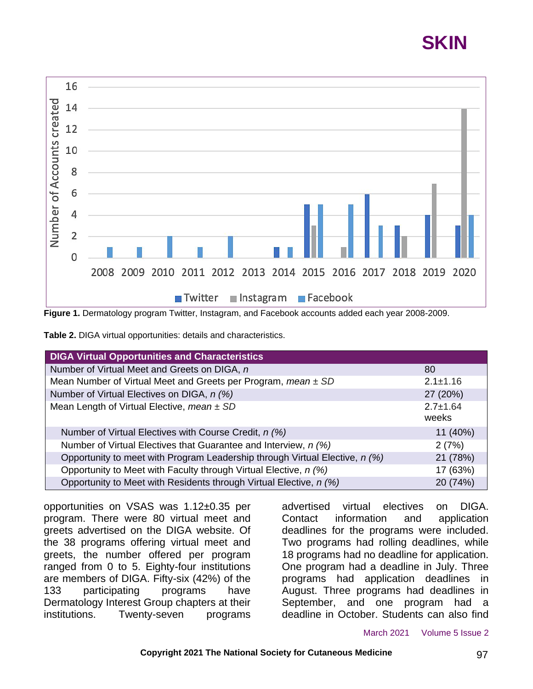# **SKIN**



**Figure 1.** Dermatology program Twitter, Instagram, and Facebook accounts added each year 2008-2009.

| Table 2. DIGA virtual opportunities: details and characteristics. |  |
|-------------------------------------------------------------------|--|
|-------------------------------------------------------------------|--|

| <b>DIGA Virtual Opportunities and Characteristics</b>                       |                         |
|-----------------------------------------------------------------------------|-------------------------|
| Number of Virtual Meet and Greets on DIGA, n                                | 80                      |
| Mean Number of Virtual Meet and Greets per Program, mean $\pm$ SD           | $2.1 \pm 1.16$          |
| Number of Virtual Electives on DIGA, n (%)                                  | 27 (20%)                |
| Mean Length of Virtual Elective, mean $\pm$ SD                              | $2.7 \pm 1.64$<br>weeks |
| Number of Virtual Electives with Course Credit, n (%)                       | 11 (40%)                |
| Number of Virtual Electives that Guarantee and Interview, n (%)             | 2(7%)                   |
| Opportunity to meet with Program Leadership through Virtual Elective, n (%) | 21 (78%)                |
| Opportunity to Meet with Faculty through Virtual Elective, n (%)            | 17 (63%)                |
| Opportunity to Meet with Residents through Virtual Elective, n (%)          | 20 (74%)                |

opportunities on VSAS was 1.12±0.35 per program. There were 80 virtual meet and greets advertised on the DIGA website. Of the 38 programs offering virtual meet and greets, the number offered per program ranged from 0 to 5. Eighty-four institutions are members of DIGA. Fifty-six (42%) of the 133 participating programs have Dermatology Interest Group chapters at their institutions. Twenty-seven programs

advertised virtual electives on DIGA. Contact information and application deadlines for the programs were included. Two programs had rolling deadlines, while 18 programs had no deadline for application. One program had a deadline in July. Three programs had application deadlines in August. Three programs had deadlines in September, and one program had a deadline in October. Students can also find

March 2021 Volume 5 Issue 2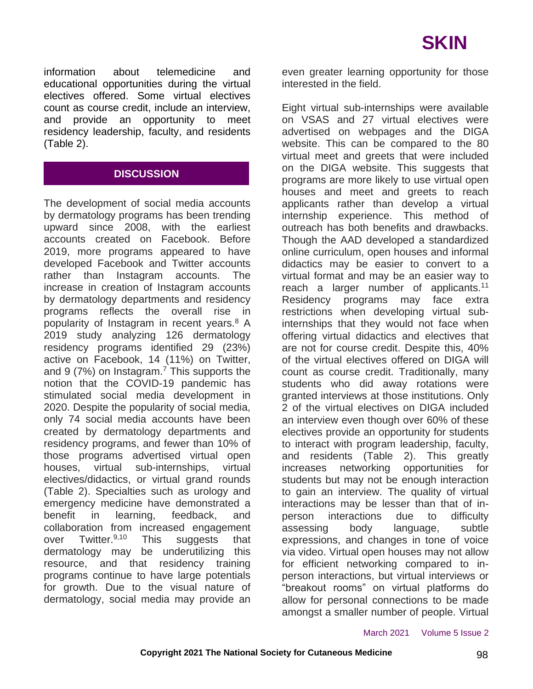information about telemedicine and educational opportunities during the virtual electives offered. Some virtual electives count as course credit, include an interview, and provide an opportunity to meet residency leadership, faculty, and residents (Table 2).

### **DISCUSSION**

The development of social media accounts by dermatology programs has been trending upward since 2008, with the earliest accounts created on Facebook. Before 2019, more programs appeared to have developed Facebook and Twitter accounts rather than Instagram accounts. The increase in creation of Instagram accounts by dermatology departments and residency programs reflects the overall rise in popularity of Instagram in recent years.<sup>8</sup> A 2019 study analyzing 126 dermatology residency programs identified 29 (23%) active on Facebook, 14 (11%) on Twitter, and 9 (7%) on Instagram.<sup>7</sup> This supports the notion that the COVID-19 pandemic has stimulated social media development in 2020. Despite the popularity of social media, only 74 social media accounts have been created by dermatology departments and residency programs, and fewer than 10% of those programs advertised virtual open houses, virtual sub-internships, virtual electives/didactics, or virtual grand rounds (Table 2). Specialties such as urology and emergency medicine have demonstrated a benefit in learning, feedback, and collaboration from increased engagement over Twitter.<sup>9,10</sup> This suggests that dermatology may be underutilizing this resource, and that residency training programs continue to have large potentials for growth. Due to the visual nature of dermatology, social media may provide an

even greater learning opportunity for those interested in the field.

Eight virtual sub-internships were available on VSAS and 27 virtual electives were advertised on webpages and the DIGA website. This can be compared to the 80 virtual meet and greets that were included on the DIGA website. This suggests that programs are more likely to use virtual open houses and meet and greets to reach applicants rather than develop a virtual internship experience. This method of outreach has both benefits and drawbacks. Though the AAD developed a standardized online curriculum, open houses and informal didactics may be easier to convert to a virtual format and may be an easier way to reach a larger number of applicants.<sup>11</sup> Residency programs may face extra restrictions when developing virtual subinternships that they would not face when offering virtual didactics and electives that are not for course credit. Despite this, 40% of the virtual electives offered on DIGA will count as course credit. Traditionally, many students who did away rotations were granted interviews at those institutions. Only 2 of the virtual electives on DIGA included an interview even though over 60% of these electives provide an opportunity for students to interact with program leadership, faculty, and residents (Table 2). This greatly increases networking opportunities for students but may not be enough interaction to gain an interview. The quality of virtual interactions may be lesser than that of inperson interactions due to difficulty assessing body language, subtle expressions, and changes in tone of voice via video. Virtual open houses may not allow for efficient networking compared to inperson interactions, but virtual interviews or "breakout rooms" on virtual platforms do allow for personal connections to be made amongst a smaller number of people. Virtual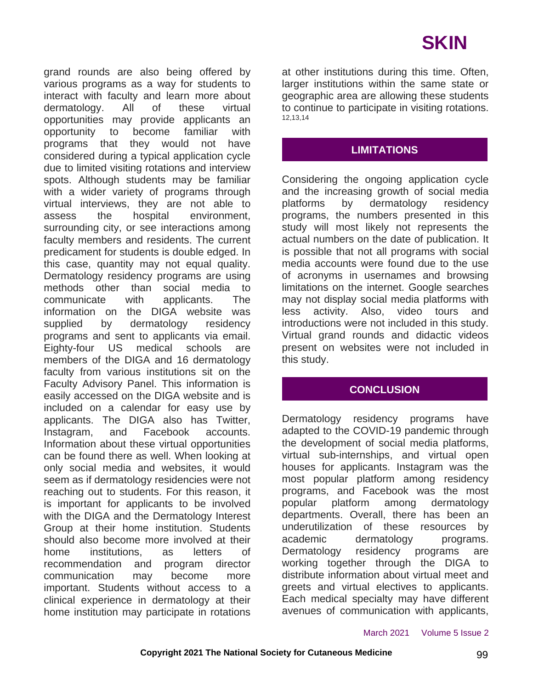grand rounds are also being offered by various programs as a way for students to interact with faculty and learn more about dermatology. All of these virtual opportunities may provide applicants an opportunity to become familiar with programs that they would not have considered during a typical application cycle due to limited visiting rotations and interview spots. Although students may be familiar with a wider variety of programs through virtual interviews, they are not able to assess the hospital environment, surrounding city, or see interactions among faculty members and residents. The current predicament for students is double edged. In this case, quantity may not equal quality. Dermatology residency programs are using methods other than social media to communicate with applicants. The information on the DIGA website was supplied by dermatology residency programs and sent to applicants via email. Eighty-four US medical schools are members of the DIGA and 16 dermatology faculty from various institutions sit on the Faculty Advisory Panel. This information is easily accessed on the DIGA website and is included on a calendar for easy use by applicants. The DIGA also has Twitter, Instagram, and Facebook accounts. Information about these virtual opportunities can be found there as well. When looking at only social media and websites, it would seem as if dermatology residencies were not reaching out to students. For this reason, it is important for applicants to be involved with the DIGA and the Dermatology Interest Group at their home institution. Students should also become more involved at their home institutions, as letters of recommendation and program director communication may become more important. Students without access to a clinical experience in dermatology at their home institution may participate in rotations

at other institutions during this time. Often, larger institutions within the same state or geographic area are allowing these students to continue to participate in visiting rotations. 12,13,14

### **LIMITATIONS**

Considering the ongoing application cycle and the increasing growth of social media platforms by dermatology residency programs, the numbers presented in this study will most likely not represents the actual numbers on the date of publication. It is possible that not all programs with social media accounts were found due to the use of acronyms in usernames and browsing limitations on the internet. Google searches may not display social media platforms with less activity. Also, video tours and introductions were not included in this study. Virtual grand rounds and didactic videos present on websites were not included in this study.

### **CONCLUSION**

Dermatology residency programs have adapted to the COVID-19 pandemic through the development of social media platforms, virtual sub-internships, and virtual open houses for applicants. Instagram was the most popular platform among residency programs, and Facebook was the most popular platform among dermatology departments. Overall, there has been an underutilization of these resources by academic dermatology programs. Dermatology residency programs are working together through the DIGA to distribute information about virtual meet and greets and virtual electives to applicants. Each medical specialty may have different avenues of communication with applicants,